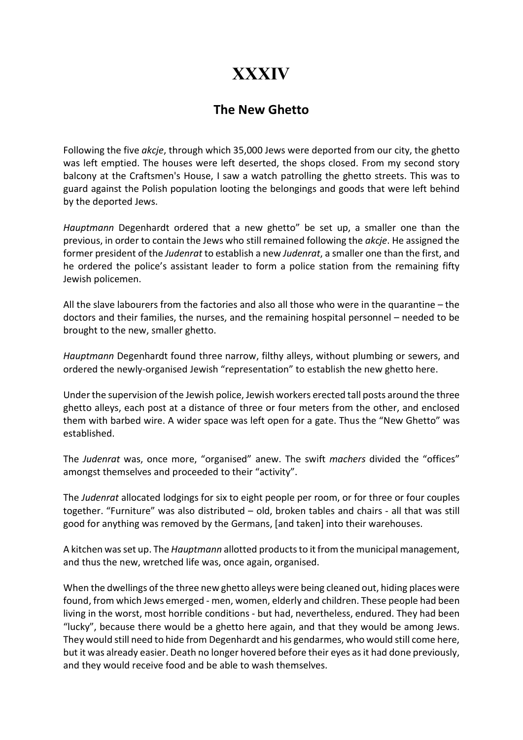## **XXXIV**

## The New Ghetto

Following the five akcje, through which 35,000 Jews were deported from our city, the ghetto was left emptied. The houses were left deserted, the shops closed. From my second story balcony at the Craftsmen's House, I saw a watch patrolling the ghetto streets. This was to guard against the Polish population looting the belongings and goods that were left behind by the deported Jews.

Hauptmann Degenhardt ordered that a new ghetto" be set up, a smaller one than the previous, in order to contain the Jews who still remained following the akcje. He assigned the former president of the Judenrat to establish a new Judenrat, a smaller one than the first, and he ordered the police's assistant leader to form a police station from the remaining fifty Jewish policemen.

All the slave labourers from the factories and also all those who were in the quarantine – the doctors and their families, the nurses, and the remaining hospital personnel – needed to be brought to the new, smaller ghetto.

Hauptmann Degenhardt found three narrow, filthy alleys, without plumbing or sewers, and ordered the newly-organised Jewish "representation" to establish the new ghetto here.

Under the supervision of the Jewish police, Jewish workers erected tall posts around the three ghetto alleys, each post at a distance of three or four meters from the other, and enclosed them with barbed wire. A wider space was left open for a gate. Thus the "New Ghetto" was established.

The Judenrat was, once more, "organised" anew. The swift machers divided the "offices" amongst themselves and proceeded to their "activity".

The *Judenrat* allocated lodgings for six to eight people per room, or for three or four couples together. "Furniture" was also distributed – old, broken tables and chairs - all that was still good for anything was removed by the Germans, [and taken] into their warehouses.

A kitchen was set up. The Hauptmann allotted products to it from the municipal management, and thus the new, wretched life was, once again, organised.

When the dwellings of the three new ghetto alleys were being cleaned out, hiding places were found, from which Jews emerged - men, women, elderly and children. These people had been living in the worst, most horrible conditions - but had, nevertheless, endured. They had been "lucky", because there would be a ghetto here again, and that they would be among Jews. They would still need to hide from Degenhardt and his gendarmes, who would still come here, but it was already easier. Death no longer hovered before their eyes as it had done previously, and they would receive food and be able to wash themselves.